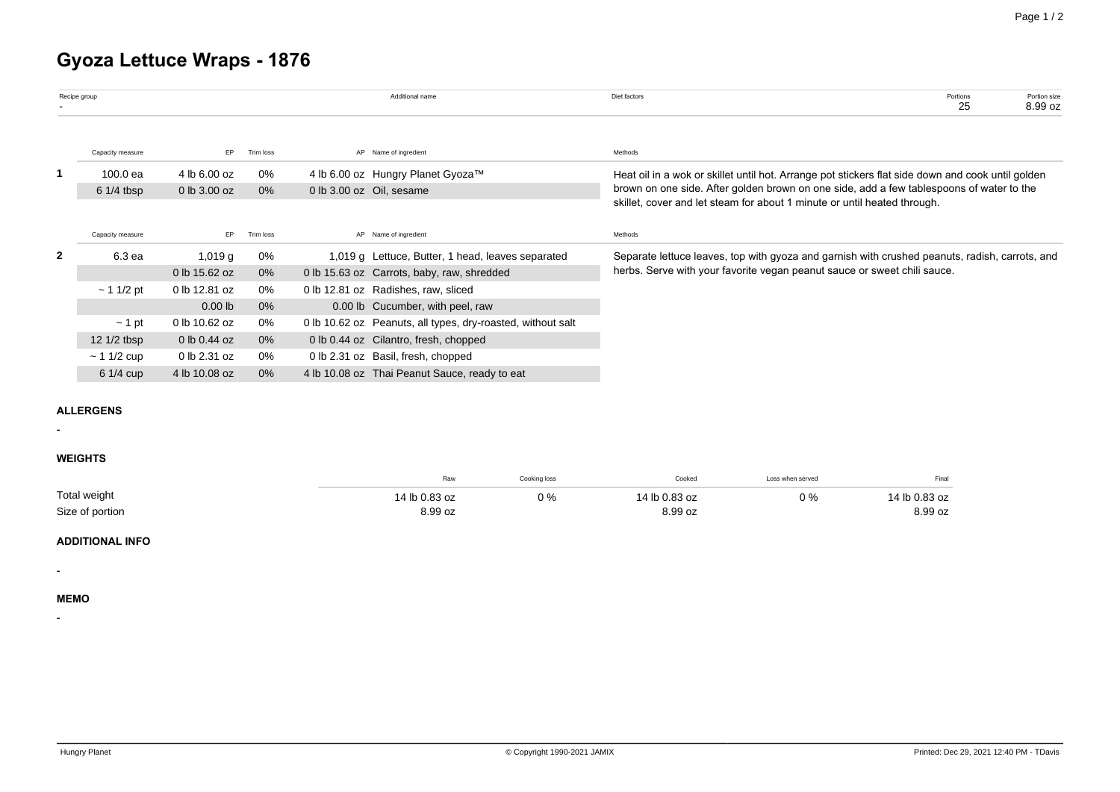# **Gyoza Lettuce Wraps - 1876**

|              | Recipe group     |               |           |  | Additional name                                             | Diet factors<br>Portions<br>Portion size<br>25<br>8.99 oz                                         |  |  |  |  |
|--------------|------------------|---------------|-----------|--|-------------------------------------------------------------|---------------------------------------------------------------------------------------------------|--|--|--|--|
|              | Capacity measure | EP.           | Trim loss |  | AP Name of ingredient                                       | Methods                                                                                           |  |  |  |  |
|              | 100.0 ea         | 4 lb 6.00 oz  | 0%        |  | 4 lb 6.00 oz Hungry Planet Gyoza™                           | Heat oil in a wok or skillet until hot. Arrange pot stickers flat side down and cook until golden |  |  |  |  |
|              | $61/4$ tbsp      | 0 lb 3.00 oz  | 0%        |  | 0 lb 3.00 oz Oil, sesame                                    | brown on one side. After golden brown on one side, add a few tablespoons of water to the          |  |  |  |  |
|              |                  |               |           |  |                                                             | skillet, cover and let steam for about 1 minute or until heated through.                          |  |  |  |  |
|              | Capacity measure | EP.           | Trim loss |  | AP Name of ingredient                                       | Methods                                                                                           |  |  |  |  |
| $\mathbf{2}$ | 6.3 ea           | 1,019 $g$     | 0%        |  | 1,019 g Lettuce, Butter, 1 head, leaves separated           | Separate lettuce leaves, top with gyoza and garnish with crushed peanuts, radish, carrots, and    |  |  |  |  |
|              |                  | 0 lb 15.62 oz | 0%        |  | 0 lb 15.63 oz Carrots, baby, raw, shredded                  | herbs. Serve with your favorite vegan peanut sauce or sweet chili sauce.                          |  |  |  |  |
|              | ~11/2~pt         | 0 lb 12.81 oz | 0%        |  | 0 lb 12.81 oz Radishes, raw, sliced                         |                                                                                                   |  |  |  |  |
|              |                  | $0.00$ lb     | 0%        |  | 0.00 lb Cucumber, with peel, raw                            |                                                                                                   |  |  |  |  |
|              | $\sim$ 1 pt      | 0 lb 10.62 oz | 0%        |  | 0 lb 10.62 oz Peanuts, all types, dry-roasted, without salt |                                                                                                   |  |  |  |  |
|              | 12 $1/2$ tbsp    | 0 lb 0.44 oz  | $0\%$     |  | 0 lb 0.44 oz Cilantro, fresh, chopped                       |                                                                                                   |  |  |  |  |
|              | $~11/2$ cup      | 0 lb 2.31 oz  | 0%        |  | 0 lb 2.31 oz Basil, fresh, chopped                          |                                                                                                   |  |  |  |  |
|              | $61/4$ cup       | 4 lb 10.08 oz | 0%        |  | 4 lb 10.08 oz Thai Peanut Sauce, ready to eat               |                                                                                                   |  |  |  |  |

## **ALLERGENS**

### **WEIGHTS**

-

|                 | Raw           | Cooking loss | Cooked        | Loss when served | Final         |
|-----------------|---------------|--------------|---------------|------------------|---------------|
| Total weight    | 14 lb 0.83 oz | ን %          | 14 lb 0.83 oz | $0\%$            | 14 lb 0.83 oz |
| Size of portion | 8.99 oz       |              | 8.99 oz       |                  | 8.99 oz       |

#### **ADDITIONAL INFO**

**MEMO**

-

-